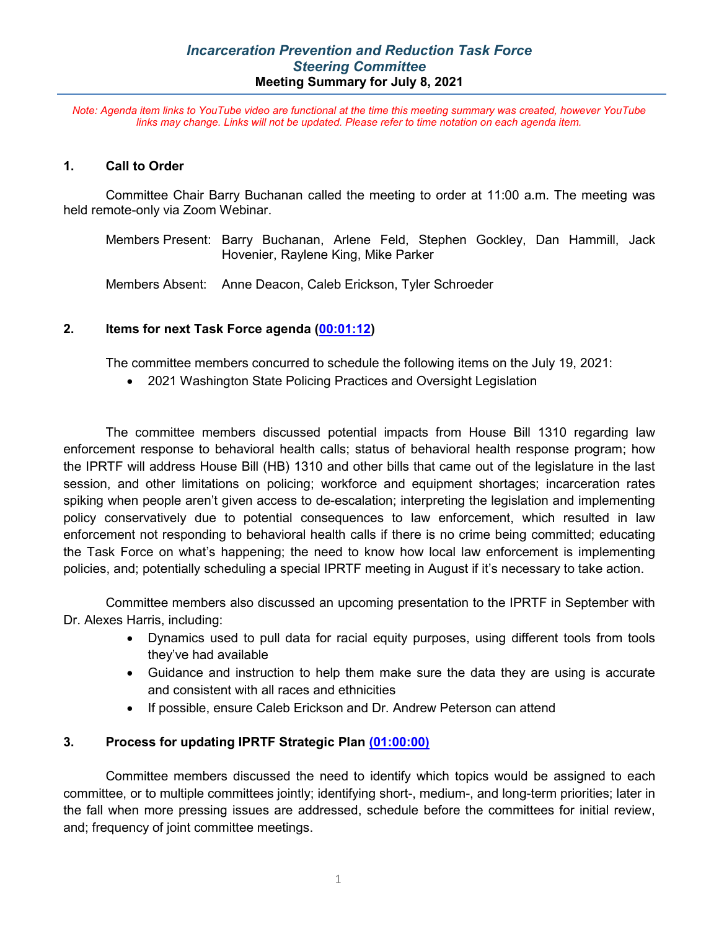*Note: Agenda item links to YouTube video are functional at the time this meeting summary was created, however YouTube links may change. Links will not be updated. Please refer to time notation on each agenda item.*

#### **1. Call to Order**

Committee Chair Barry Buchanan called the meeting to order at 11:00 a.m. The meeting was held remote-only via Zoom Webinar.

Members Present: Barry Buchanan, Arlene Feld, Stephen Gockley, Dan Hammill, Jack Hovenier, Raylene King, Mike Parker

Members Absent: Anne Deacon, Caleb Erickson, Tyler Schroeder

### **2. Items for next Task Force agenda [\(00:01:12\)](https://youtu.be/_m1o_oJvHAs?list=PL8OuJOt5jT9qfmpjQ562L2KL685E3KxC2&t=71)**

The committee members concurred to schedule the following items on the July 19, 2021:

• 2021 Washington State Policing Practices and Oversight Legislation

The committee members discussed potential impacts from House Bill 1310 regarding law enforcement response to behavioral health calls; status of behavioral health response program; how the IPRTF will address House Bill (HB) 1310 and other bills that came out of the legislature in the last session, and other limitations on policing; workforce and equipment shortages; incarceration rates spiking when people aren't given access to de-escalation; interpreting the legislation and implementing policy conservatively due to potential consequences to law enforcement, which resulted in law enforcement not responding to behavioral health calls if there is no crime being committed; educating the Task Force on what's happening; the need to know how local law enforcement is implementing policies, and; potentially scheduling a special IPRTF meeting in August if it's necessary to take action.

Committee members also discussed an upcoming presentation to the IPRTF in September with Dr. Alexes Harris, including:

- Dynamics used to pull data for racial equity purposes, using different tools from tools they've had available
- Guidance and instruction to help them make sure the data they are using is accurate and consistent with all races and ethnicities
- If possible, ensure Caleb Erickson and Dr. Andrew Peterson can attend

## **3. Process for updating IPRTF Strategic Plan [\(01:00:00\)](https://youtu.be/_m1o_oJvHAs?list=PL8OuJOt5jT9qfmpjQ562L2KL685E3KxC2&t=3605)**

Committee members discussed the need to identify which topics would be assigned to each committee, or to multiple committees jointly; identifying short-, medium-, and long-term priorities; later in the fall when more pressing issues are addressed, schedule before the committees for initial review, and; frequency of joint committee meetings.